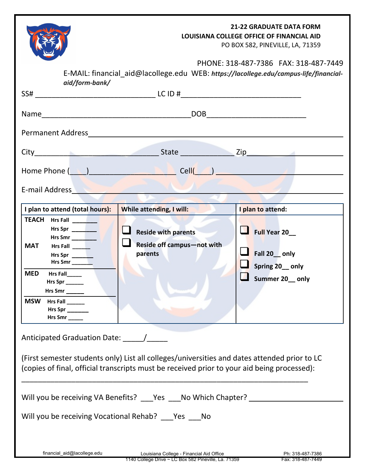| aid/form-bank/                                                                                                                                                                                                                                                                      | E-MAIL: financial_aid@lacollege.edu WEB: https://lacollege.edu/campus-life/financial-                                                                                                                                                                                                                               | <b>21-22 GRADUATE DATA FORM</b><br>LOUISIANA COLLEGE OFFICE OF FINANCIAL AID<br>PO BOX 582, PINEVILLE, LA, 71359<br>PHONE: 318-487-7386 FAX: 318-487-7449 |
|-------------------------------------------------------------------------------------------------------------------------------------------------------------------------------------------------------------------------------------------------------------------------------------|---------------------------------------------------------------------------------------------------------------------------------------------------------------------------------------------------------------------------------------------------------------------------------------------------------------------|-----------------------------------------------------------------------------------------------------------------------------------------------------------|
|                                                                                                                                                                                                                                                                                     |                                                                                                                                                                                                                                                                                                                     |                                                                                                                                                           |
|                                                                                                                                                                                                                                                                                     |                                                                                                                                                                                                                                                                                                                     |                                                                                                                                                           |
|                                                                                                                                                                                                                                                                                     |                                                                                                                                                                                                                                                                                                                     |                                                                                                                                                           |
|                                                                                                                                                                                                                                                                                     |                                                                                                                                                                                                                                                                                                                     |                                                                                                                                                           |
|                                                                                                                                                                                                                                                                                     | Home Phone $(\underline{\hspace{1cm}},\underline{\hspace{1cm}})$                                                                                                                                                                                                                                                    |                                                                                                                                                           |
| E-mail Address and the control of the control of the control of the control of the control of the control of the control of the control of the control of the control of the control of the control of the control of the cont                                                      |                                                                                                                                                                                                                                                                                                                     |                                                                                                                                                           |
| I plan to attend (total hours):<br>TEACH Hrs Fall ______<br>Hrs Spr<br>Hrs Smr<br>Hrs Fall $\frac{1}{2}$<br><b>MAT</b><br>Hrs Spr<br>Hrs Smr $\_$<br><b>MED</b><br>Hrs Fall<br>Hrs Spr _______<br>Hrs Smr ______<br><b>MSW</b><br><b>Hrs Fall</b><br>Hrs Spr $\_\_$<br>Hrs Smr $\_$ | While attending, I will:<br>u<br><b>Reside with parents</b><br>Reside off campus-not with<br>parents                                                                                                                                                                                                                | I plan to attend:<br>Full Year 20_<br>$\blacksquare$ Fall 20 only<br>Spring 20_only<br>Summer 20 only                                                     |
| Anticipated Graduation Date: \[musummation]<br>Will you be receiving Vocational Rehab? Pes No<br>financial_aid@lacollege.edu                                                                                                                                                        | (First semester students only) List all colleges/universities and dates attended prior to LC<br>(copies of final, official transcripts must be received prior to your aid being processed):<br>Will you be receiving VA Benefits? ___ Yes ___ No Which Chapter? _______<br>Louisiana College - Financial Aid Office | Ph: 318-487-7386                                                                                                                                          |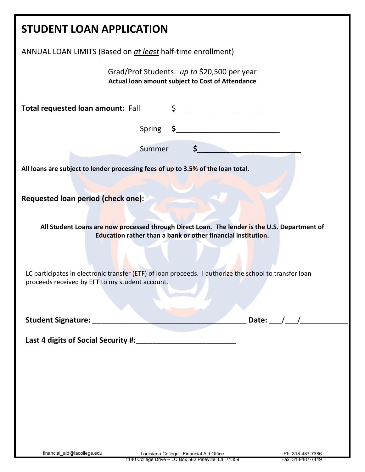| <b>STUDENT LOAN APPLICATION</b>                                                                                                                               |                             |  |
|---------------------------------------------------------------------------------------------------------------------------------------------------------------|-----------------------------|--|
| ANNUAL LOAN LIMITS (Based on at least half-time enrollment)                                                                                                   |                             |  |
| Grad/Prof Students: up to \$20,500 per year<br>Actual loan amount subject to Cost of Attendance                                                               |                             |  |
| <b>Total requested loan amount: Fall</b>                                                                                                                      | $\frac{1}{2}$               |  |
|                                                                                                                                                               |                             |  |
| $\mathsf{S}_{\text{max}}$<br>Summer                                                                                                                           |                             |  |
| All loans are subject to lender processing fees of up to 3.5% of the loan total.                                                                              |                             |  |
| Requested loan period (check one):                                                                                                                            |                             |  |
| All Student Loans are now processed through Direct Loan. The lender is the U.S. Department of<br>Education rather than a bank or other financial institution. |                             |  |
|                                                                                                                                                               |                             |  |
| LC participates in electronic transfer (ETF) of loan proceeds. I authorize the school to transfer loan<br>proceeds received by EFT to my student account.     |                             |  |
|                                                                                                                                                               |                             |  |
| Student Signature: ________                                                                                                                                   | Date: $\_\_\_\_\_\_\_\_\_\$ |  |
| Last 4 digits of Social Security #:_                                                                                                                          |                             |  |
|                                                                                                                                                               |                             |  |
|                                                                                                                                                               |                             |  |
|                                                                                                                                                               |                             |  |
|                                                                                                                                                               |                             |  |
|                                                                                                                                                               |                             |  |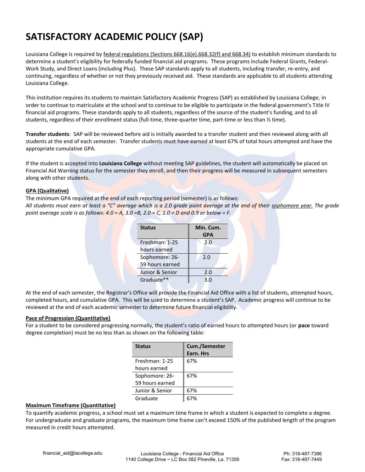## **SATISFACTORY ACADEMIC POLICY (SAP)**

Louisiana College is required by federal regulations (Sections 668.16(e).668.32(f) and 668.34) to establish minimum standards to determine a student's eligibility for federally funded financial aid programs. These programs include Federal Grants, Federal-Work Study, and Direct Loans (including Plus). These SAP standards apply to all students, including transfer, re-entry, and continuing, regardless of whether or not they previously received aid. These standards are applicable to all students attending Louisiana College.

This institution requires its students to maintain Satisfactory Academic Progress (SAP) as established by Louisiana College, in order to continue to matriculate at the school and to continue to be eligible to participate in the federal government's Title IV financial aid programs. These standards apply to all students, regardless of the source of the student's funding, and to all students, regardless of their enrollment status (full-time, three-quarter time, part-time or less than ½ time).

**Transfer students**: SAP will be reviewed before aid is initially awarded to a transfer student and then reviewed along with all students at the end of each semester. Transfer students must have earned at least 67% of total hours attempted and have the appropriate cumulative GPA.

If the student is accepted into **Louisiana College** without meeting SAP guidelines, the student will automatically be placed on Financial Aid Warning status for the semester they enroll, and then their progress will be measured in subsequent semesters along with other students.

### **GPA (Qualitative)**

The minimum GPA required at the end of each reporting period (semester) is as follows: *All students must earn at least a "C" average which is a 2.0 grade point average at the end of their sophomore year. The grade point average scale is as follows: 4.0 = A, 3.0 =B, 2.0 = C, 1.0 = D and 0.9 or below = F.* 

| <b>Status</b>   | Min. Cum.  |
|-----------------|------------|
|                 | <b>GPA</b> |
| Freshman: 1-25  | 2.0        |
| hours earned    |            |
| Sophomore: 26-  | 2.0        |
| 59 hours earned |            |
| Junior & Senior | 2.0        |
| Graduate**      | 3.0        |

At the end of each semester, the Registrar's Office will provide the Financial Aid Office with a list of students, attempted hours, completed hours, and cumulative GPA. This will be used to determine a student's SAP. Academic progress will continue to be reviewed at the end of each academic semester to determine future financial eligibility.

#### **Pace of Progression (Quantitative)**

For a student to be considered progressing normally, the student's ratio of earned hours to attempted hours (or **pace** toward degree completion) must be no less than as shown on the following table:

| <b>Status</b>   | Cum./Semester |
|-----------------|---------------|
|                 | Earn. Hrs     |
| Freshman: 1-25  | 67%           |
| hours earned    |               |
| Sophomore: 26-  | 67%           |
| 59 hours earned |               |
| Junior & Senior | 67%           |
| Graduate        |               |

#### **Maximum Timeframe (Quantitative)**

To quantify academic progress, a school must set a maximum time frame in which a student is expected to complete a degree. For undergraduate and graduate programs, the maximum time frame can't exceed 150% of the published length of the program measured in credit hours attempted.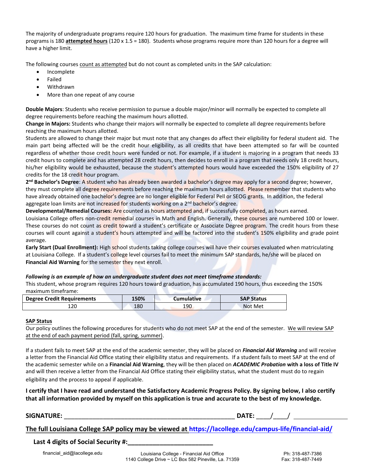The majority of undergraduate programs require 120 hours for graduation. The maximum time frame for students in these programs is 180 **attempted hours** (120 x 1.5 = 180). Students whose programs require more than 120 hours for a degree will have a higher limit.

The following courses count as attempted but do not count as completed units in the SAP calculation:

- Incomplete
- Failed
- Withdrawn
- More than one repeat of any course

**Double Majors**: Students who receive permission to pursue a double major/minor will normally be expected to complete all degree requirements before reaching the maximum hours allotted.

**Change in Majors:** Students who change their majors will normally be expected to complete all degree requirements before reaching the maximum hours allotted.

Students are allowed to change their major but must note that any changes do affect their eligibility for federal student aid. The main part being affected will be the credit hour eligibility, as all credits that have been attempted so far will be counted regardless of whether those credit hours were funded or not. For example, if a student is majoring in a program that needs 33 credit hours to complete and has attempted 28 credit hours, then decides to enroll in a program that needs only 18 credit hours, his/her eligibility would be exhausted, because the student's attempted hours would have exceeded the 150% eligibility of 27 credits for the 18 credit hour program.

2<sup>nd</sup> Bachelor's Degree: A student who has already been awarded a bachelor's degree may apply for a second degree; however, they must complete all degree requirements before reaching the maximum hours allotted. Please remember that students who have already obtained one bachelor's degree are no longer eligible for Federal Pell or SEOG grants. In addition, the federal aggregate loan limits are not increased for students working on a  $2<sup>nd</sup>$  bachelor's degree.

**Developmental/Remedial Courses:** Are counted as hours attempted and, if successfully completed, as hours earned.

Louisiana College offers non-credit remedial courses in Math and English. Generally, these courses are numbered 100 or lower. These courses do not count as credit toward a student's certificate or Associate Degree program. The credit hours from these courses will count against a student's hours attempted and will be factored into the student's 150% eligibility and grade point average.

Early Start (Dual Enrollment): High school students taking college courses will have their courses evaluated when matriculating at Louisiana College. If a student's college level courses fail to meet the minimum SAP standards, he/she will be placed on **Financial Aid Warning** for the semester they next enroll.

#### *Following is an example of how an undergraduate student does not meet timeframe standards:*

This student, whose program requires 120 hours toward graduation, has accumulated 190 hours, thus exceeding the 150% maximum timeframe:

| <b>Degree Credit Requirements</b> | 150% | <b>Cumulative</b> | <b>SAP Status</b> |
|-----------------------------------|------|-------------------|-------------------|
| 120                               | 180  | 190               | Not Met           |

#### **SAP Status**

Our policy outlines the following procedures for students who do not meet SAP at the end of the semester. We will review SAP at the end of each payment period (fall, spring, summer).

If a student fails to meet SAP at the end of the academic semester, they will be placed on *Financial Aid Warning* and will receive a letter from the Financial Aid Office stating their eligibility status and requirements. If a student fails to meet SAP at the end of the academic semester while on a **Financial Aid Warning**, they will be then placed on *ACADEMIC Probation* **with a loss of Title IV** and will then receive a letter from the Financial Aid Office stating their eligibility status, what the student must do to regain eligibility and the process to appeal if applicable.

**I certify that I have read and understand the Satisfactory Academic Progress Policy. By signing below, I also certify that all information provided by myself on this application is true and accurate to the best of my knowledge.** 

#### **SIGNATURE:** \_\_\_\_\_\_\_\_\_\_\_\_\_\_\_\_\_\_\_\_\_\_\_\_\_\_\_\_\_\_\_\_\_\_\_\_\_\_\_\_\_\_\_\_\_\_\_\_ **DATE:** \_\_\_\_/\_\_\_\_/

**The full Louisiana College SAP policy may be viewed at [https://lacollege.edu/campus-life/financia](http://www.lacollege.edu/finances/financial-aid)l-aid/**

#### Last 4 digits of Social Security #: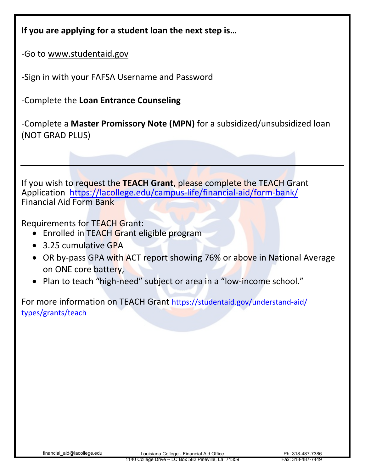|  | If you are applying for a student loan the next step is |
|--|---------------------------------------------------------|
|--|---------------------------------------------------------|

-Go to www.studentaid.gov

-Sign in with your FAFSA Username and Password

-Complete the **Loan Entrance Counseling**

-Complete a **Master Promissory Note (MPN)** for a subsidized/unsubsidized loan (NOT GRAD PLUS)

If you wish to request the **TEACH Grant**, please complete the TEACH Grant Application [https://lacollege.edu/campus-life/financial-aid/form-bank/](http://www.lacollege.edu/finances/financial-aid) Financial Aid Form Bank

Requirements for TEACH Grant:

- Enrolled in TEACH Grant eligible program
- 3.25 cumulative GPA
- OR by-pass GPA with ACT report showing 76% or above in National Average on ONE core battery,
- Plan to teach "high-need" subject or area in a "low-income school."

For more information on TEACH Grant [https://studentaid.gov/understand-aid/](https://studentaid.ed.gov/sa/types/grants-scholarships/teach) [types/grants/teach](https://studentaid.ed.gov/sa/types/grants-scholarships/teach)